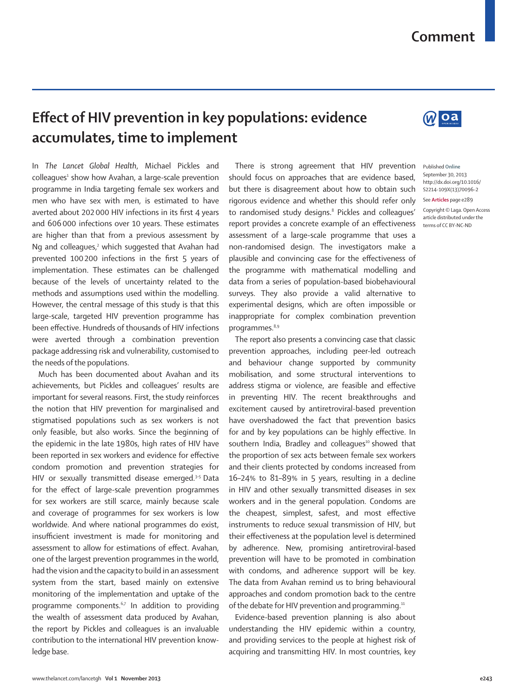## **Comment**

## **Effect of HIV prevention in key populations: evidence accumulates, time to implement**

In *The Lancet Global Health*, Michael Pickles and colleagues<sup>1</sup> show how Avahan, a large-scale prevention programme in India targeting female sex workers and men who have sex with men, is estimated to have averted about 202 000 HIV infections in its first 4 years and 606 000 infections over 10 years. These estimates are higher than that from a previous assessment by Ng and colleagues,<sup>2</sup> which suggested that Avahan had prevented 100 200 infections in the first 5 years of implementation. These estimates can be challenged because of the levels of uncertainty related to the methods and assumptions used within the modelling. However, the central message of this study is that this large-scale, targeted HIV prevention programme has been effective. Hundreds of thousands of HIV infections were averted through a combination prevention package addressing risk and vulnerability, customised to the needs of the populations.

Much has been documented about Avahan and its achievements, but Pickles and colleagues' results are important for several reasons. First, the study reinforces the notion that HIV prevention for marginalised and stigmatised populations such as sex workers is not only feasible, but also works. Since the beginning of the epidemic in the late 1980s, high rates of HIV have been reported in sex workers and evidence for effective condom promotion and prevention strategies for HIV or sexually transmitted disease emerged.<sup>3-5</sup> Data for the effect of large-scale prevention programmes for sex workers are still scarce, mainly because scale and coverage of programmes for sex workers is low worldwide. And where national programmes do exist, insufficient investment is made for monitoring and assessment to allow for estimations of effect. Avahan, one of the largest prevention programmes in the world, had the vision and the capacity to build in an assessment system from the start, based mainly on extensive monitoring of the implementation and uptake of the programme components.<sup>6,7</sup> In addition to providing the wealth of assessment data produced by Avahan, the report by Pickles and colleagues is an invaluable contribution to the international HIV prevention knowledge base.

There is strong agreement that HIV prevention should focus on approaches that are evidence based, but there is disagreement about how to obtain such rigorous evidence and whether this should refer only to randomised study designs.<sup>8</sup> Pickles and colleagues' report provides a concrete example of an effectiveness assessment of a large-scale programme that uses a non-randomised design. The investigators make a plausible and convincing case for the effectiveness of the programme with mathematical modelling and data from a series of population-based biobehavioural surveys. They also provide a valid alternative to experimental designs, which are often impossible or inappropriate for complex combination prevention programmes.<sup>8,9</sup>

The report also presents a convincing case that classic prevention approaches, including peer-led outreach and behaviour change supported by community mobilisation, and some structural interventions to address stigma or violence, are feasible and effective in preventing HIV. The recent breakthroughs and excitement caused by antiretroviral-based prevention have overshadowed the fact that prevention basics for and by key populations can be highly effective. In southern India, Bradley and colleagues<sup>10</sup> showed that the proportion of sex acts between female sex workers and their clients protected by condoms increased from 16–24% to 81–89% in 5 years, resulting in a decline in HIV and other sexually transmitted diseases in sex workers and in the general population. Condoms are the cheapest, simplest, safest, and most effective instruments to reduce sexual transmission of HIV, but their effectiveness at the population level is determined by adherence. New, promising antiretroviral-based prevention will have to be promoted in combination with condoms, and adherence support will be key. The data from Avahan remind us to bring behavioural approaches and condom promotion back to the centre of the debate for HIV prevention and programming.<sup>11</sup>

Evidence-based prevention planning is also about understanding the HIV epidemic within a country, and providing services to the people at highest risk of acquiring and transmitting HIV. In most countries, key



Published **Online** September 30, 2013 http://dx.doi.org/10.1016/ S2214-109X(13)70096-2 See **Articles** page e289

Copyright © Laga. Open Access article distributed under the terms of CC BY-NC-ND